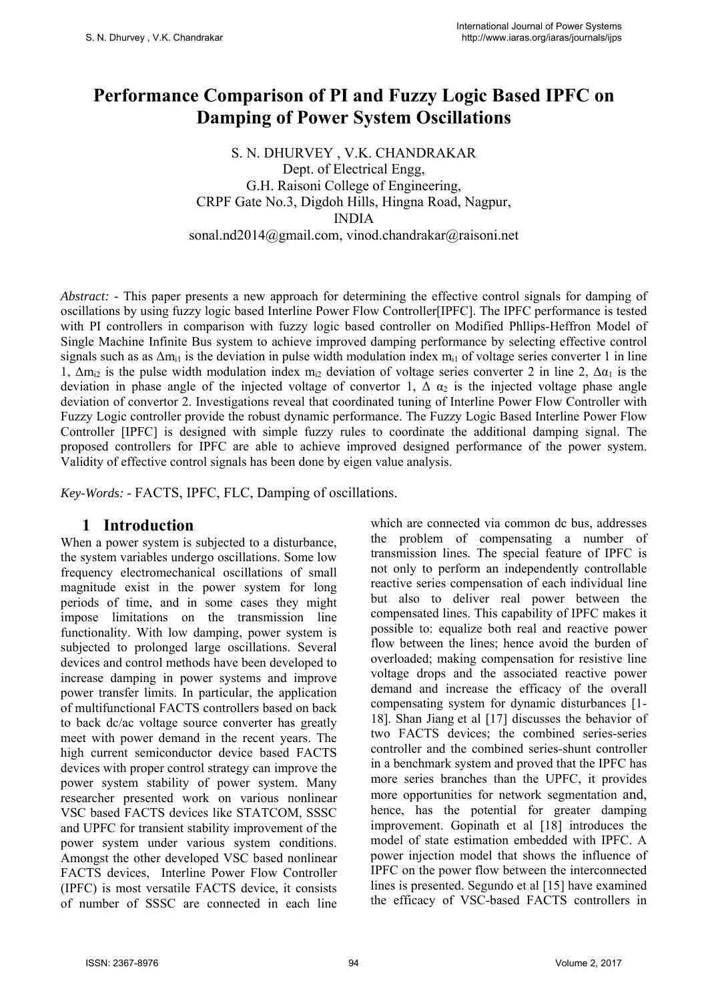# **Performance Comparison of PI and Fuzzy Logic Based IPFC on Damping of Power System Oscillations**

S. N. DHURVEY , V.K. CHANDRAKAR Dept. of Electrical Engg, G.H. Raisoni College of Engineering, CRPF Gate No.3, Digdoh Hills, Hingna Road, Nagpur, INDIA sonal.nd2014@gmail.com, vinod.chandrakar@raisoni.net

*Abstract:* - This paper presents a new approach for determining the effective control signals for damping of oscillations by using fuzzy logic based Interline Power Flow Controller[IPFC]. The IPFC performance is tested with PI controllers in comparison with fuzzy logic based controller on Modified Phllips-Heffron Model of Single Machine Infinite Bus system to achieve improved damping performance by selecting effective control signals such as as  $\Delta m_{i1}$  is the deviation in pulse width modulation index  $m_{i1}$  of voltage series converter 1 in line 1,  $\Delta m_{12}$  is the pulse width modulation index  $m_{12}$  deviation of voltage series converter 2 in line 2,  $\Delta \alpha_1$  is the deviation in phase angle of the injected voltage of convertor 1,  $\Delta \alpha_2$  is the injected voltage phase angle deviation of convertor 2. Investigations reveal that coordinated tuning of Interline Power Flow Controller with Fuzzy Logic controller provide the robust dynamic performance. The Fuzzy Logic Based Interline Power Flow Controller [IPFC] is designed with simple fuzzy rules to coordinate the additional damping signal. The proposed controllers for IPFC are able to achieve improved designed performance of the power system. Validity of effective control signals has been done by eigen value analysis.

*Key-Words: -* FACTS, IPFC, FLC, Damping of oscillations.

## **1 Introduction**

When a power system is subjected to a disturbance. the system variables undergo oscillations. Some low frequency electromechanical oscillations of small magnitude exist in the power system for long periods of time, and in some cases they might impose limitations on the transmission line functionality. With low damping, power system is subjected to prolonged large oscillations. Several devices and control methods have been developed to increase damping in power systems and improve power transfer limits. In particular, the application of multifunctional FACTS controllers based on back to back dc/ac voltage source converter has greatly meet with power demand in the recent years. The high current semiconductor device based FACTS devices with proper control strategy can improve the power system stability of power system. Many researcher presented work on various nonlinear VSC based FACTS devices like STATCOM, SSSC and UPFC for transient stability improvement of the power system under various system conditions. Amongst the other developed VSC based nonlinear FACTS devices, Interline Power Flow Controller (IPFC) is most versatile FACTS device, it consists of number of SSSC are connected in each line which are connected via common dc bus, addresses the problem of compensating a number of transmission lines. The special feature of IPFC is not only to perform an independently controllable reactive series compensation of each individual line but also to deliver real power between the compensated lines. This capability of IPFC makes it possible to: equalize both real and reactive power flow between the lines; hence avoid the burden of overloaded; making compensation for resistive line voltage drops and the associated reactive power demand and increase the efficacy of the overall compensating system for dynamic disturbances [1- 18]. Shan Jiang et al [17] discusses the behavior of two FACTS devices; the combined series-series controller and the combined series-shunt controller in a benchmark system and proved that the IPFC has more series branches than the UPFC, it provides more opportunities for network segmentation and, hence, has the potential for greater damping improvement. Gopinath et al [18] introduces the model of state estimation embedded with IPFC. A power injection model that shows the influence of IPFC on the power flow between the interconnected lines is presented. Segundo et al [15] have examined the efficacy of VSC-based FACTS controllers in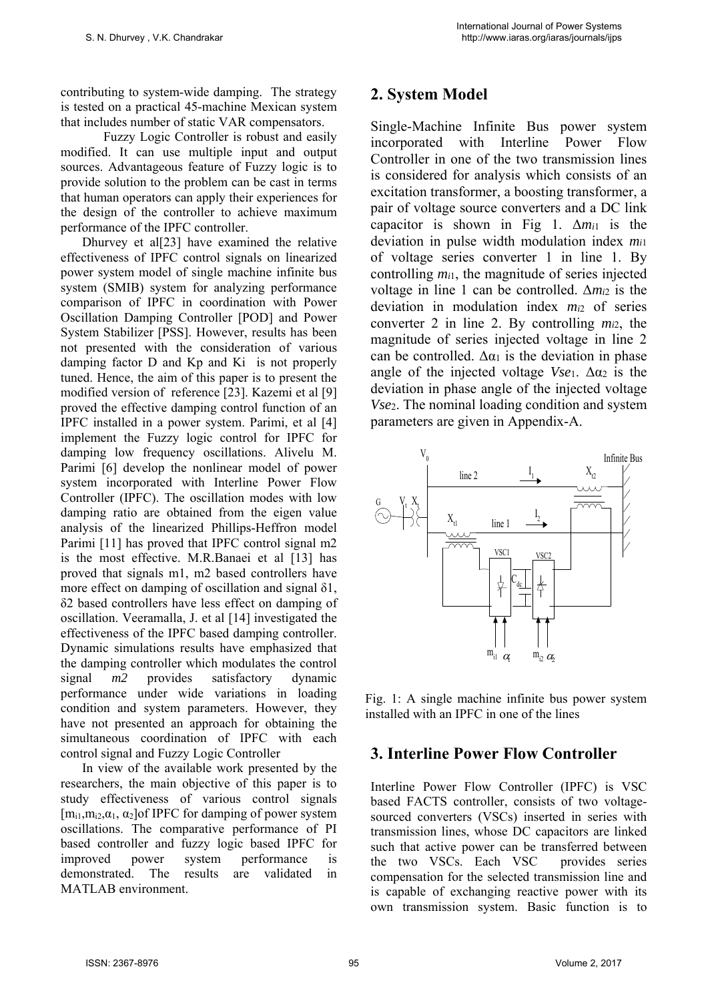contributing to system-wide damping. The strategy is tested on a practical 45-machine Mexican system that includes number of static VAR compensators.

Fuzzy Logic Controller is robust and easily modified. It can use multiple input and output sources. Advantageous feature of Fuzzy logic is to provide solution to the problem can be cast in terms that human operators can apply their experiences for the design of the controller to achieve maximum performance of the IPFC controller.

Dhurvey et al[23] have examined the relative effectiveness of IPFC control signals on linearized power system model of single machine infinite bus system (SMIB) system for analyzing performance comparison of IPFC in coordination with Power Oscillation Damping Controller [POD] and Power System Stabilizer [PSS]. However, results has been not presented with the consideration of various damping factor D and Kp and Ki is not properly tuned. Hence, the aim of this paper is to present the modified version of reference [23]. Kazemi et al [9] proved the effective damping control function of an IPFC installed in a power system. Parimi, et al [4] implement the Fuzzy logic control for IPFC for damping low frequency oscillations. Alivelu M. Parimi [6] develop the nonlinear model of power system incorporated with Interline Power Flow Controller (IPFC). The oscillation modes with low damping ratio are obtained from the eigen value analysis of the linearized Phillips-Heffron model Parimi [11] has proved that IPFC control signal m2 is the most effective. M.R.Banaei et al [13] has proved that signals m1, m2 based controllers have more effect on damping of oscillation and signal δ1, δ2 based controllers have less effect on damping of oscillation. Veeramalla, J. et al [14] investigated the effectiveness of the IPFC based damping controller. Dynamic simulations results have emphasized that the damping controller which modulates the control signal *m2* provides satisfactory dynamic performance under wide variations in loading condition and system parameters. However, they have not presented an approach for obtaining the simultaneous coordination of IPFC with each control signal and Fuzzy Logic Controller

In view of the available work presented by the researchers, the main objective of this paper is to study effectiveness of various control signals  $[m_{i1},m_{i2},\alpha_1,\alpha_2]$  of IPFC for damping of power system oscillations. The comparative performance of PI based controller and fuzzy logic based IPFC for improved power system performance is demonstrated. The results are validated in MATLAB environment.

# **2. System Model**

Single-Machine Infinite Bus power system incorporated with Interline Power Flow Controller in one of the two transmission lines is considered for analysis which consists of an excitation transformer, a boosting transformer, a pair of voltage source converters and a DC link capacitor is shown in Fig 1. Δ*mi*1 is the deviation in pulse width modulation index *mi*<sup>1</sup> of voltage series converter 1 in line 1. By controlling *mi*1, the magnitude of series injected voltage in line 1 can be controlled. Δ*mi*2 is the deviation in modulation index *mi*2 of series converter 2 in line 2. By controlling *mi*2, the magnitude of series injected voltage in line 2 can be controlled.  $\Delta \alpha_1$  is the deviation in phase angle of the injected voltage  $Vse<sub>1</sub>$ .  $\Delta \alpha_2$  is the deviation in phase angle of the injected voltage *Vse*2. The nominal loading condition and system parameters are given in Appendix-A.



Fig. 1: A single machine infinite bus power system installed with an IPFC in one of the lines

# **3. Interline Power Flow Controller**

Interline Power Flow Controller (IPFC) is VSC based FACTS controller, consists of two voltagesourced converters (VSCs) inserted in series with transmission lines, whose DC capacitors are linked such that active power can be transferred between the two VSCs. Each VSC provides series compensation for the selected transmission line and is capable of exchanging reactive power with its own transmission system. Basic function is to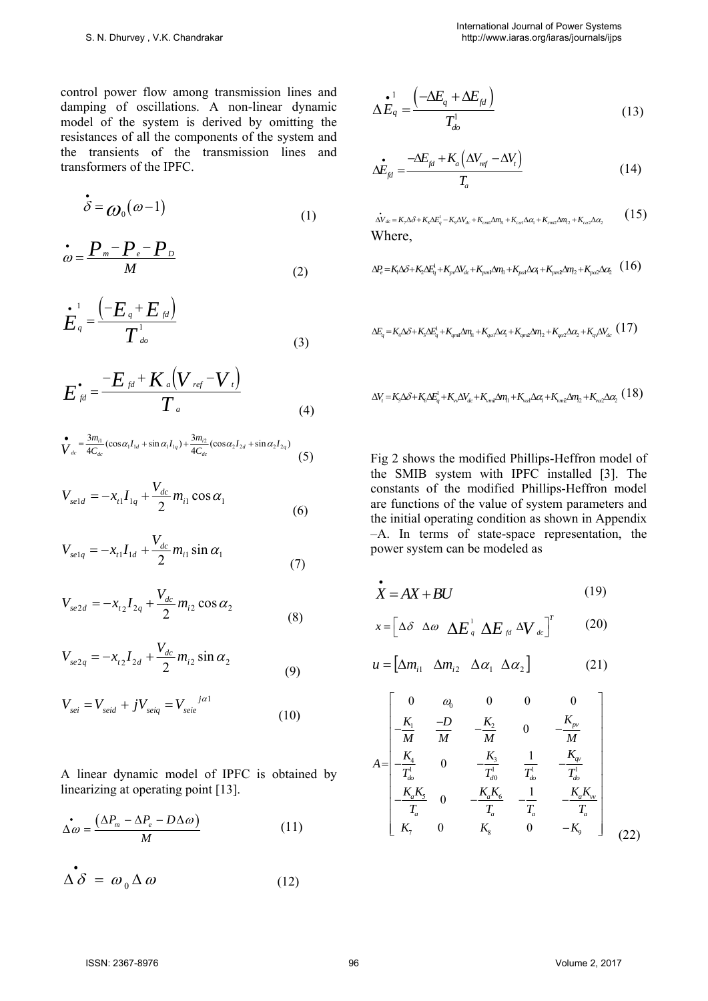control power flow among transmission lines and damping of oscillations. A non-linear dynamic model of the system is derived by omitting the resistances of all the components of the system and the transients of the transmission lines and transformers of the IPFC.

$$
\dot{\delta} = \omega_0(\omega - 1) \tag{1}
$$

$$
\dot{\omega} = \frac{P_m - P_e - P_D}{M} \tag{2}
$$

$$
\dot{E}_q = \frac{\left(-E_q + E_{fd}\right)}{T_{do}^1} \tag{3}
$$

$$
E_{\beta d}^{\bullet} = \frac{-E_{\beta d} + K_a (V_{\text{ref}} - V_{\text{t}})}{T_a}
$$
(4)

$$
\sum_{d_{ac}}^{\bullet} = \frac{3m_{i1}}{4C_{dc}} (\cos \alpha_1 I_{1d} + \sin \alpha_1 I_{1q}) + \frac{3m_{i2}}{4C_{dc}} (\cos \alpha_2 I_{2d} + \sin \alpha_2 I_{2q})
$$
(5)

$$
V_{\text{sel}d} = -x_{t1}I_{1q} + \frac{V_{dc}}{2}m_{t1}\cos\alpha_1\tag{6}
$$

$$
V_{\text{selq}} = -x_{t1}I_{1d} + \frac{V_{dc}}{2}m_{t1} \sin \alpha_1 \tag{7}
$$

$$
V_{se2d} = -x_{i2}I_{2q} + \frac{V_{dc}}{2}m_{i2}\cos\alpha_2
$$
\n(8)

$$
V_{se2q} = -x_{t2}I_{2d} + \frac{V_{dc}}{2}m_{i2}\sin\alpha_2
$$
 (9)

$$
V_{sei} = V_{seid} + jV_{seiq} = V_{seie}^{j\alpha 1}
$$
\n(10)

A linear dynamic model of IPFC is obtained by linearizing at operating point [13].

$$
\dot{\Delta\omega} = \frac{(\Delta P_m - \Delta P_e - D\Delta\omega)}{M} \tag{11}
$$

$$
\Delta \hat{\delta} = \omega_0 \Delta \omega \tag{12}
$$

$$
\Delta E_q = \frac{\left(-\Delta E_q + \Delta E_{fd}\right)}{T_{do}^1} \tag{13}
$$

$$
\Delta E_{fd} = \frac{-\Delta E_{fd} + K_a \left( \Delta V_{ref} - \Delta V_t \right)}{T_a} \tag{14}
$$

$$
\dot{\Delta V}_{dc} = K_{\gamma} \Delta \delta + K_{s} \Delta E_{q}^{1} - K_{\phi} \Delta V_{dc} + K_{cm\Delta} \Delta m_{1} + K_{cat} \Delta \alpha_{1} + K_{cm2} \Delta m_{12} + K_{c\alpha 2} \Delta \alpha_{2}
$$
\n(15)

$$
\Delta P_e = K_1 \Delta \delta + K_2 \Delta E_q^{\dagger} + K_{\rho} \Delta V_{dc} + K_{\rho m1} \Delta m_1 + K_{\rho c1} \Delta c_1 + K_{\rho m2} \Delta m_2 + K_{\rho c2} \Delta c_2 \quad (16)
$$

$$
\Delta E_q = K_4 \Delta \delta + K_3 \Delta E_q^1 + K_{qml} \Delta m_l + K_{qcl} \Delta \alpha_l + K_{qml} \Delta m_l + K_{qcl} \Delta \alpha_l + K_{qcl} \Delta \alpha_l + K_{qcl} \Delta V_{dc}
$$
 (17)

$$
\Delta V_{i} = K_{s}\Delta\delta + K_{6}\Delta E_{q}^{1} + K_{v}\Delta V_{dc} + K_{vml}\Delta\eta_{1} + K_{vcl}\Delta\alpha_{1} + K_{vml}\Delta\eta_{2} + K_{vcl}\Delta\alpha_{2} (18)
$$

Fig 2 shows the modified Phillips-Heffron model of the SMIB system with IPFC installed [3]. The constants of the modified Phillips-Heffron model are functions of the value of system parameters and the initial operating condition as shown in Appendix –A. In terms of state-space representation, the power system can be modeled as

$$
\dot{X} = AX + BU \tag{19}
$$

$$
x = \left[ \Delta \delta \ \Delta \omega \ \Delta E_{q}^{1} \ \Delta E_{q} \ \Delta V_{dc} \right]^{T} \qquad (20)
$$

$$
u = \begin{bmatrix} \Delta m_{i1} & \Delta m_{i2} & \Delta \alpha_1 & \Delta \alpha_2 \end{bmatrix}
$$
 (21)

$$
A = \begin{bmatrix} 0 & a_0 & 0 & 0 & 0 \\ \frac{K_1}{M} & \frac{-D}{M} & -\frac{K_2}{M} & 0 & -\frac{K_{pv}}{M} \\ -\frac{K_4}{T_{ab}^1} & 0 & -\frac{K_3}{T_{ab}^1} & \frac{1}{T_{ab}^1} & -\frac{K_{qv}}{T_{ab}^1} \\ -\frac{K_a K_5}{T_a} & 0 & -\frac{K_a K_6}{T_a} & -\frac{1}{T_a} & -\frac{K_a K_{vv}}{T_a} \\ K_7 & 0 & K_8 & 0 & -K_9 \end{bmatrix}
$$
(22)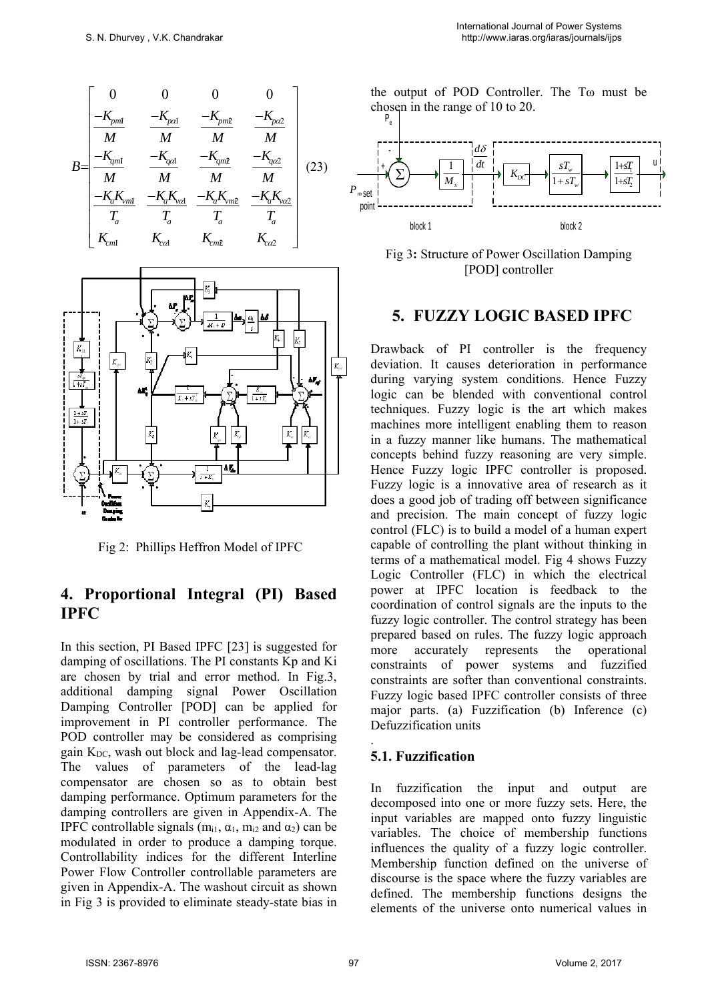$$
B = \begin{bmatrix} 0 & 0 & 0 & 0 \\ \frac{-K_{pm1}}{M} & \frac{-K_{pot1}}{M} & \frac{-K_{pm2}}{M} & \frac{-K_{pc2}}{M} \\ \frac{-K_{qml}}{M} & \frac{-K_{qcl}}{M} & \frac{-K_{qml2}}{M} & \frac{-K_{qcl2}}{M} \\ \frac{-K_{a}K_{vml}}{T_{a}} & \frac{-K_{a}K_{vcl}}{T_{a}} & \frac{-K_{a}K_{vml2}}{T_{a}} & \frac{-K_{a}K_{vcl2}}{T_{a}} \\ K_{cm1} & K_{cd} & K_{cm2} & K_{co2} \end{bmatrix} (23)
$$



Fig 2: Phillips Heffron Model of IPFC

## **4. Proportional Integral (PI) Based IPFC**

In this section, PI Based IPFC [23] is suggested for damping of oscillations. The PI constants Kp and Ki are chosen by trial and error method. In Fig.3, additional damping signal Power Oscillation Damping Controller [POD] can be applied for improvement in PI controller performance. The POD controller may be considered as comprising gain  $K_{DC}$ , wash out block and lag-lead compensator. The values of parameters of the lead-lag compensator are chosen so as to obtain best damping performance. Optimum parameters for the damping controllers are given in Appendix-A. The IPFC controllable signals ( $m_{i1}$ ,  $\alpha_1$ ,  $m_{i2}$  and  $\alpha_2$ ) can be modulated in order to produce a damping torque. Controllability indices for the different Interline Power Flow Controller controllable parameters are given in Appendix-A. The washout circuit as shown in Fig 3 is provided to eliminate steady-state bias in

the output of POD Controller. The Tω must be chosen in the range of 10 to 20.





## **5. FUZZY LOGIC BASED IPFC**

Drawback of PI controller is the frequency deviation. It causes deterioration in performance during varying system conditions. Hence Fuzzy logic can be blended with conventional control techniques. Fuzzy logic is the art which makes machines more intelligent enabling them to reason in a fuzzy manner like humans. The mathematical concepts behind fuzzy reasoning are very simple. Hence Fuzzy logic IPFC controller is proposed. Fuzzy logic is a innovative area of research as it does a good job of trading off between significance and precision. The main concept of fuzzy logic control (FLC) is to build a model of a human expert capable of controlling the plant without thinking in terms of a mathematical model. Fig 4 shows Fuzzy Logic Controller (FLC) in which the electrical power at IPFC location is feedback to the coordination of control signals are the inputs to the fuzzy logic controller. The control strategy has been prepared based on rules. The fuzzy logic approach more accurately represents the operational constraints of power systems and fuzzified constraints are softer than conventional constraints. Fuzzy logic based IPFC controller consists of three major parts. (a) Fuzzification (b) Inference (c) Defuzzification units

## **5.1. Fuzzification**

.

In fuzzification the input and output are decomposed into one or more fuzzy sets. Here, the input variables are mapped onto fuzzy linguistic variables. The choice of membership functions influences the quality of a fuzzy logic controller. Membership function defined on the universe of discourse is the space where the fuzzy variables are defined. The membership functions designs the elements of the universe onto numerical values in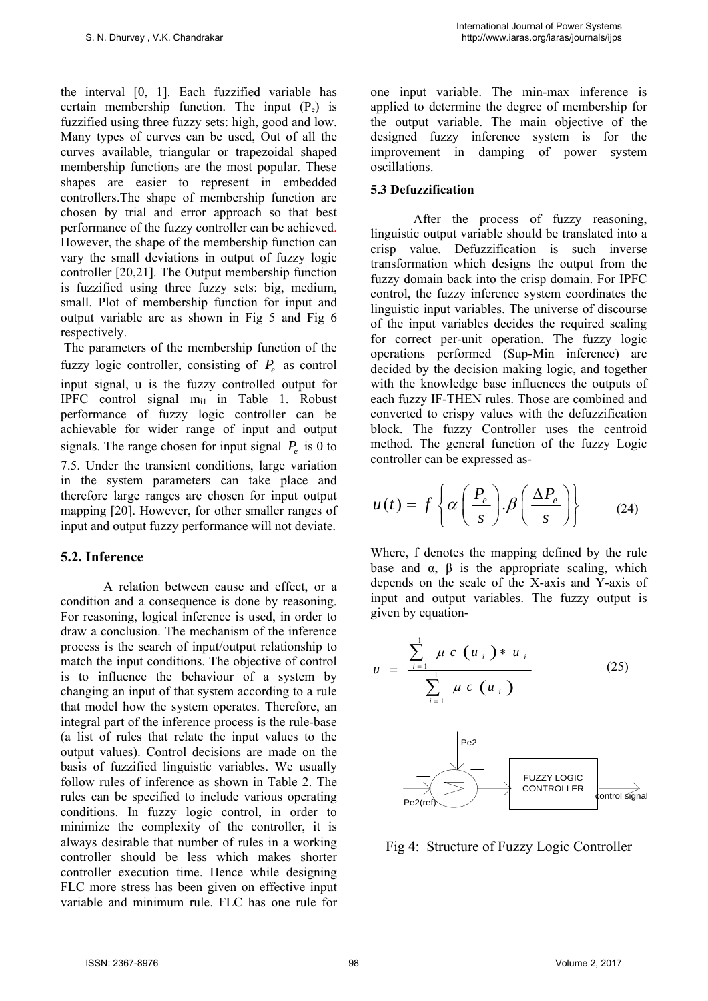the interval [0, 1]. Each fuzzified variable has certain membership function. The input  $(P_e)$  is fuzzified using three fuzzy sets: high, good and low. Many types of curves can be used, Out of all the curves available, triangular or trapezoidal shaped membership functions are the most popular. These shapes are easier to represent in embedded controllers.The shape of membership function are chosen by trial and error approach so that best performance of the fuzzy controller can be achieved. However, the shape of the membership function can vary the small deviations in output of fuzzy logic controller [20,21]. The Output membership function is fuzzified using three fuzzy sets: big, medium, small. Plot of membership function for input and output variable are as shown in Fig 5 and Fig 6 respectively.

 The parameters of the membership function of the fuzzy logic controller, consisting of  $P_e$  as control input signal, u is the fuzzy controlled output for IPFC control signal  $m_{i1}$  in Table 1. Robust performance of fuzzy logic controller can be achievable for wider range of input and output signals. The range chosen for input signal  $P_e$  is 0 to 7.5. Under the transient conditions, large variation in the system parameters can take place and therefore large ranges are chosen for input output mapping [20]. However, for other smaller ranges of input and output fuzzy performance will not deviate.

#### **5.2. Inference**

A relation between cause and effect, or a condition and a consequence is done by reasoning. For reasoning, logical inference is used, in order to draw a conclusion. The mechanism of the inference process is the search of input/output relationship to match the input conditions. The objective of control is to influence the behaviour of a system by changing an input of that system according to a rule that model how the system operates. Therefore, an integral part of the inference process is the rule-base (a list of rules that relate the input values to the output values). Control decisions are made on the basis of fuzzified linguistic variables. We usually follow rules of inference as shown in Table 2. The rules can be specified to include various operating conditions. In fuzzy logic control, in order to minimize the complexity of the controller, it is always desirable that number of rules in a working controller should be less which makes shorter controller execution time. Hence while designing FLC more stress has been given on effective input variable and minimum rule. FLC has one rule for one input variable. The min-max inference is applied to determine the degree of membership for the output variable. The main objective of the designed fuzzy inference system is for the improvement in damping of power system oscillations.

#### **5.3 Defuzzification**

After the process of fuzzy reasoning, linguistic output variable should be translated into a crisp value. Defuzzification is such inverse transformation which designs the output from the fuzzy domain back into the crisp domain. For IPFC control, the fuzzy inference system coordinates the linguistic input variables. The universe of discourse of the input variables decides the required scaling for correct per-unit operation. The fuzzy logic operations performed (Sup-Min inference) are decided by the decision making logic, and together with the knowledge base influences the outputs of each fuzzy IF-THEN rules. Those are combined and converted to crispy values with the defuzzification block. The fuzzy Controller uses the centroid method. The general function of the fuzzy Logic controller can be expressed as-

$$
u(t) = f\left\{\alpha \left(\frac{P_e}{s}\right) . \beta \left(\frac{\Delta P_e}{s}\right) \right\} \tag{24}
$$

Where, f denotes the mapping defined by the rule base and  $\alpha$ ,  $\beta$  is the appropriate scaling, which depends on the scale of the X-axis and Y-axis of input and output variables. The fuzzy output is given by equation-

$$
u = \frac{\sum_{i=1}^{1} \mu c (u_i) * u_i}{\sum_{i=1}^{1} \mu c (u_i)}
$$
(25)  
Pe2  
FUZZY LOGIC  
CONTROLLER

Fig 4: Structure of Fuzzy Logic Controller

Pe2(ref)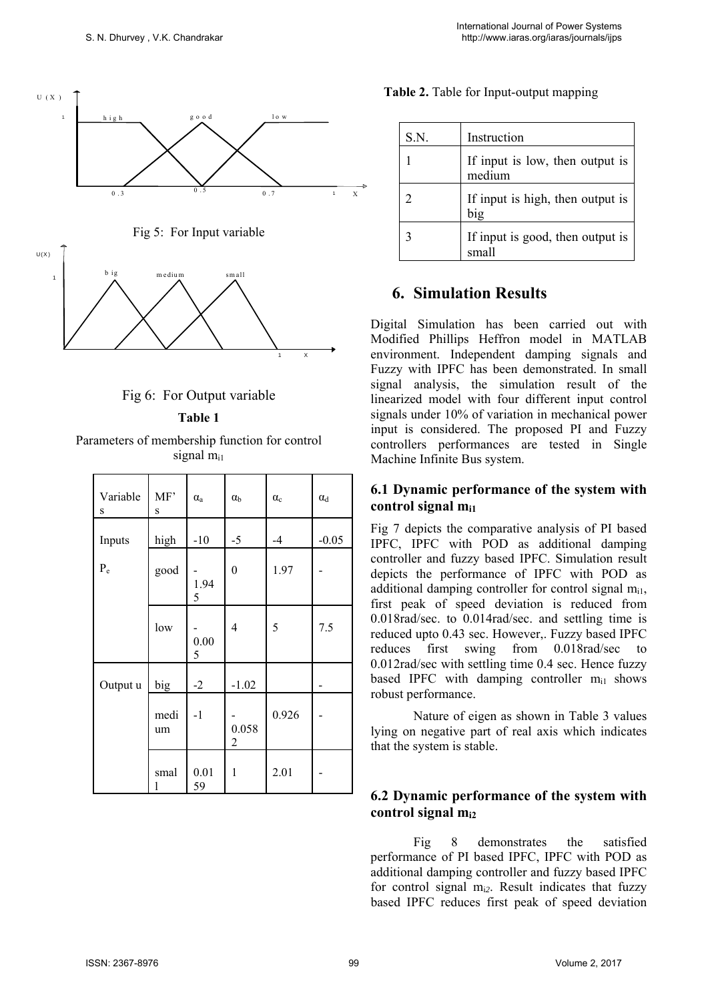



**Table 1**

Parameters of membership function for control signal m<sub>i1</sub>

| Variable<br>$\rm S$ | MF'<br>S   | $\alpha$ <sub>a</sub> | $\alpha_{\rm b}$ | $\alpha_c$ | $\alpha_d$ |
|---------------------|------------|-----------------------|------------------|------------|------------|
| Inputs              | high       | $-10$                 | $-5$             | $-4$       | $-0.05$    |
| $P_e$               | good       | 1.94<br>5             | $\boldsymbol{0}$ | 1.97       |            |
|                     | low        | 0.00<br>5             | 4                | 5          | 7.5        |
| Output u            | big        | $-2$                  | $-1.02$          |            |            |
|                     | medi<br>um | $-1$                  | 0.058<br>2       | 0.926      |            |
|                     | smal<br>1  | 0.01<br>59            | 1                | 2.01       |            |

|  |  | <b>Table 2.</b> Table for Input-output mapping |  |
|--|--|------------------------------------------------|--|
|--|--|------------------------------------------------|--|

| S.N.           | Instruction                               |
|----------------|-------------------------------------------|
|                | If input is low, then output is<br>medium |
| $\mathfrak{D}$ | If input is high, then output is<br>big   |
| 3              | If input is good, then output is<br>small |

## **6. Simulation Results**

Digital Simulation has been carried out with Modified Phillips Heffron model in MATLAB environment. Independent damping signals and Fuzzy with IPFC has been demonstrated. In small signal analysis, the simulation result of the linearized model with four different input control signals under 10% of variation in mechanical power input is considered. The proposed PI and Fuzzy controllers performances are tested in Single Machine Infinite Bus system.

#### **6.1 Dynamic performance of the system with control signal mi1**

Fig 7 depicts the comparative analysis of PI based IPFC, IPFC with POD as additional damping controller and fuzzy based IPFC. Simulation result depicts the performance of IPFC with POD as additional damping controller for control signal  $m_{i1}$ , first peak of speed deviation is reduced from 0.018rad/sec. to 0.014rad/sec. and settling time is reduced upto 0.43 sec. However,. Fuzzy based IPFC reduces first swing from 0.018rad/sec to 0.012rad/sec with settling time 0.4 sec. Hence fuzzy based IPFC with damping controller  $m_{i1}$  shows robust performance.

Nature of eigen as shown in Table 3 values lying on negative part of real axis which indicates that the system is stable.

## **6.2 Dynamic performance of the system with control signal mi2**

Fig 8 demonstrates the satisfied performance of PI based IPFC, IPFC with POD as additional damping controller and fuzzy based IPFC for control signal mi*2*. Result indicates that fuzzy based IPFC reduces first peak of speed deviation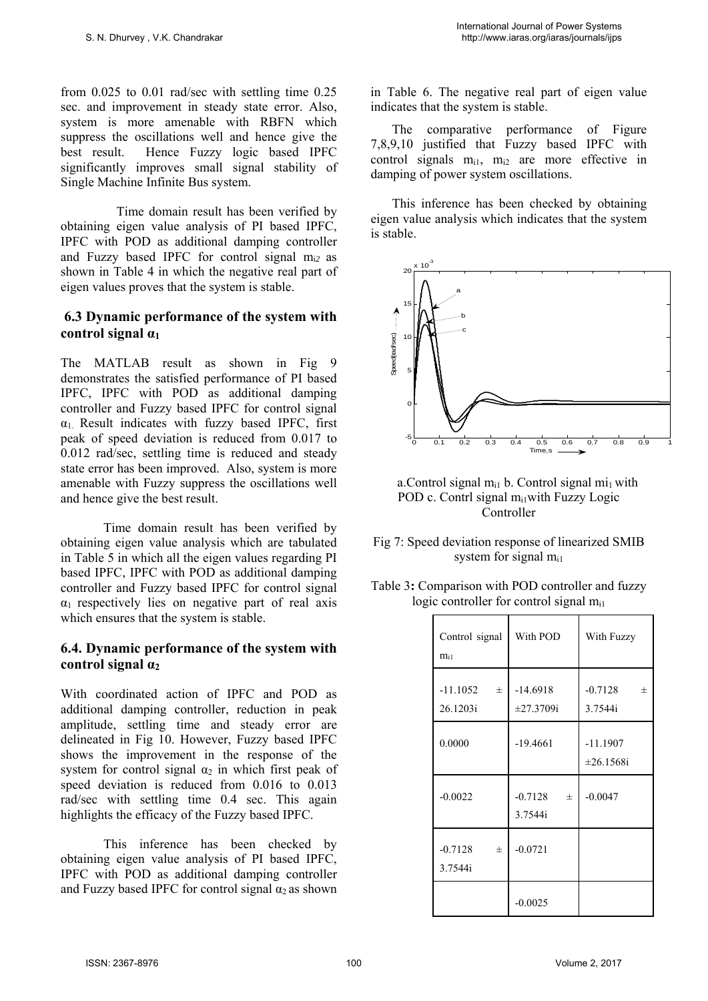from 0.025 to 0.01 rad/sec with settling time 0.25 sec. and improvement in steady state error. Also, system is more amenable with RBFN which suppress the oscillations well and hence give the best result. Hence Fuzzy logic based IPFC significantly improves small signal stability of Single Machine Infinite Bus system.

 Time domain result has been verified by obtaining eigen value analysis of PI based IPFC, IPFC with POD as additional damping controller and Fuzzy based IPFC for control signal mi*2* as shown in Table 4 in which the negative real part of eigen values proves that the system is stable.

#### **6.3 Dynamic performance of the system with control signal α<sup>1</sup>**

The MATLAB result as shown in Fig 9 demonstrates the satisfied performance of PI based IPFC, IPFC with POD as additional damping controller and Fuzzy based IPFC for control signal  $\alpha_1$  Result indicates with fuzzy based IPFC, first peak of speed deviation is reduced from 0.017 to 0.012 rad/sec, settling time is reduced and steady state error has been improved. Also, system is more amenable with Fuzzy suppress the oscillations well and hence give the best result.

Time domain result has been verified by obtaining eigen value analysis which are tabulated in Table 5 in which all the eigen values regarding PI based IPFC, IPFC with POD as additional damping controller and Fuzzy based IPFC for control signal  $\alpha_1$  respectively lies on negative part of real axis which ensures that the system is stable.

#### **6.4. Dynamic performance of the system with control signal α<sup>2</sup>**

With coordinated action of IPFC and POD as additional damping controller, reduction in peak amplitude, settling time and steady error are delineated in Fig 10. However, Fuzzy based IPFC shows the improvement in the response of the system for control signal  $\alpha_2$  in which first peak of speed deviation is reduced from 0.016 to 0.013 rad/sec with settling time 0.4 sec. This again highlights the efficacy of the Fuzzy based IPFC.

This inference has been checked by obtaining eigen value analysis of PI based IPFC, IPFC with POD as additional damping controller and Fuzzy based IPFC for control signal  $\alpha_2$  as shown in Table 6. The negative real part of eigen value indicates that the system is stable.

The comparative performance of Figure 7,8,9,10 justified that Fuzzy based IPFC with control signals  $m_{i1}$ ,  $m_{i2}$  are more effective in damping of power system oscillations.

This inference has been checked by obtaining eigen value analysis which indicates that the system is stable.



a. Control signal  $m_{i1}$  b. Control signal  $mi_1$  with POD c. Contrl signal  $m_{i1}$  with Fuzzy Logic Controller

- Fig 7: Speed deviation response of linearized SMIB system for signal  $m<sub>i1</sub>$
- Table 3**:** Comparison with POD controller and fuzzy logic controller for control signal m<sub>i1</sub>

| Control signal<br>m <sub>i1</sub> | With POD                      | With Fuzzy                    |
|-----------------------------------|-------------------------------|-------------------------------|
| $-11.1052$<br>$\pm$<br>26.1203i   | $-14.6918$<br>±27.3709i       | $-0.7128$<br>$\pm$<br>3.7544i |
| 0.0000                            | $-19.4661$                    | $-11.1907$<br>±26.1568i       |
| $-0.0022$                         | $-0.7128$<br>$\pm$<br>3.7544i | $-0.0047$                     |
| $-0.7128$<br>$\pm$<br>3.7544i     | $-0.0721$                     |                               |
|                                   | $-0.0025$                     |                               |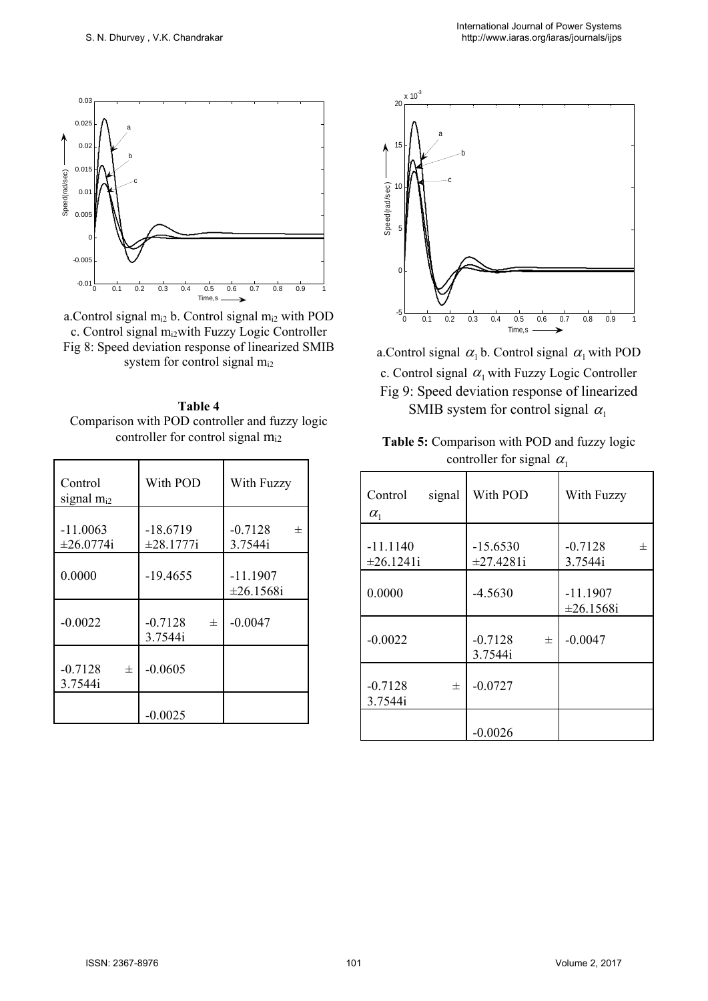

a.Control signal  $m_{i2}$  b. Control signal  $m_{i2}$  with POD c. Control signal m<sub>i2</sub>with Fuzzy Logic Controller Fig 8: Speed deviation response of linearized SMIB system for control signal  $m_{i2}$ 



| Control<br>signal $m_{i2}$ | With POD                  | With Fuzzy                     |
|----------------------------|---------------------------|--------------------------------|
| $-11.0063$<br>±26.0774i    | $-18.6719$<br>±28.1777i   | $-0.7128$<br>$^{+}$<br>3.7544i |
| 0.0000                     | $-19.4655$                | $-11.1907$<br>±26.1568i        |
| $-0.0022$                  | $-0.7128$<br>士<br>3.7544i | $-0.0047$                      |
| $-0.7128$<br>士<br>3.7544i  | $-0.0605$                 |                                |
|                            | $-0.0025$                 |                                |



a.Control signal  $\alpha_1$  b. Control signal  $\alpha_1$  with POD c. Control signal  $\alpha_1$  with Fuzzy Logic Controller Fig 9: Speed deviation response of linearized SMIB system for control signal  $\alpha_1$ 

| <b>Table 5:</b> Comparison with POD and fuzzy logic |  |
|-----------------------------------------------------|--|
| controller for signal $\alpha_1$                    |  |

| Control<br>signal<br>$\alpha_{1}$ | With POD                  | With Fuzzy                    |
|-----------------------------------|---------------------------|-------------------------------|
| $-11.1140$<br>±26.1241i           | $-15.6530$<br>±27.4281i   | $-0.7128$<br>$\pm$<br>3.7544i |
| 0.0000                            | $-4.5630$                 | $-11.1907$<br>±26.1568i       |
| $-0.0022$                         | $-0.7128$<br>士<br>3.7544i | $-0.0047$                     |
| $-0.7128$<br>士<br>3.7544i         | $-0.0727$                 |                               |
|                                   | $-0.0026$                 |                               |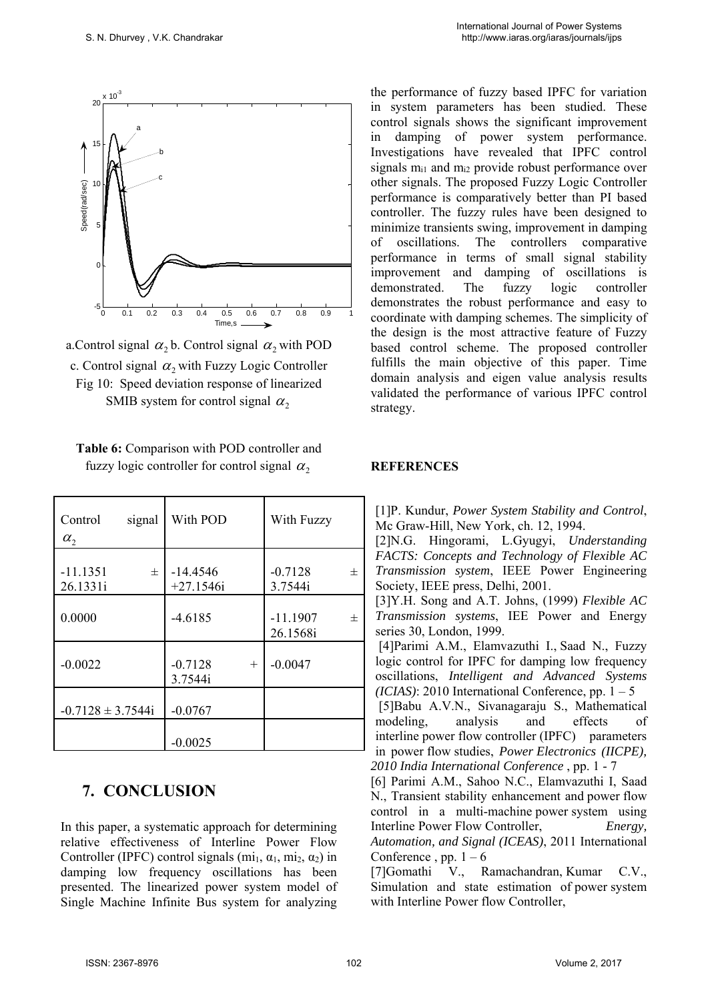

a. Control signal  $\alpha$ , b. Control signal  $\alpha$ , with POD c. Control signal  $\alpha$ , with Fuzzy Logic Controller Fig 10: Speed deviation response of linearized SMIB system for control signal  $\alpha$ ,

**Table 6:** Comparison with POD controller and fuzzy logic controller for control signal  $\alpha$ ,

| Control<br>signal<br>$\alpha$ , | With POD                       | With Fuzzy                  |
|---------------------------------|--------------------------------|-----------------------------|
| $-11.1351$<br>士<br>26.1331i     | $-14.4546$<br>$+27.1546i$      | $-0.7128$<br>士<br>3.7544i   |
| 0.0000                          | $-4.6185$                      | $-11.1907$<br>士<br>26.1568i |
| $-0.0022$                       | $-0.7128$<br>$^{+}$<br>3.7544i | $-0.0047$                   |
| $-0.7128 \pm 3.7544i$           | $-0.0767$                      |                             |
|                                 | $-0.0025$                      |                             |

# **7. CONCLUSION**

In this paper, a systematic approach for determining relative effectiveness of Interline Power Flow Controller (IPFC) control signals (mi<sub>1</sub>,  $\alpha_1$ , mi<sub>2</sub>,  $\alpha_2$ ) in damping low frequency oscillations has been presented. The linearized power system model of Single Machine Infinite Bus system for analyzing the performance of fuzzy based IPFC for variation in system parameters has been studied. These control signals shows the significant improvement in damping of power system performance. Investigations have revealed that IPFC control signals  $m<sub>i1</sub>$  and  $m<sub>i2</sub>$  provide robust performance over other signals. The proposed Fuzzy Logic Controller performance is comparatively better than PI based controller. The fuzzy rules have been designed to minimize transients swing, improvement in damping of oscillations. The controllers comparative performance in terms of small signal stability improvement and damping of oscillations is demonstrated. The fuzzy logic controller demonstrates the robust performance and easy to coordinate with damping schemes. The simplicity of the design is the most attractive feature of Fuzzy based control scheme. The proposed controller fulfills the main objective of this paper. Time domain analysis and eigen value analysis results validated the performance of various IPFC control strategy.

#### **REFERENCES**

[1]P. Kundur, *Power System Stability and Control*, Mc Graw-Hill, New York, ch. 12, 1994.

[2]N.G. Hingorami, L.Gyugyi, *Understanding FACTS: Concepts and Technology of Flexible AC Transmission system*, IEEE Power Engineering Society, IEEE press, Delhi, 2001.

[3]Y.H. Song and A.T. Johns, (1999) *Flexible AC Transmission systems*, IEE Power and Energy series 30, London, 1999.

 [4]Parimi A.M., Elamvazuthi I., Saad N., Fuzzy logic control for IPFC for damping low frequency oscillations, *Intelligent and Advanced Systems (ICIAS)*: 2010 International Conference, pp.  $1 - 5$ 

 [5]Babu A.V.N., Sivanagaraju S., Mathematical modeling, analysis and effects of interline power flow controller (IPFC) parameters in power flow studies, *Power Electronics (IICPE), 2010 India International Conference* , pp. 1 - 7

[6] Parimi A.M., Sahoo N.C., Elamvazuthi I, Saad N., Transient stability enhancement and power flow control in a multi-machine power system using Interline Power Flow Controller, *Energy, Automation, and Signal (ICEAS)*, 2011 International Conference, pp.  $1 - 6$ 

[7]Gomathi V., Ramachandran, Kumar C.V., Simulation and state estimation of power system with Interline Power flow Controller,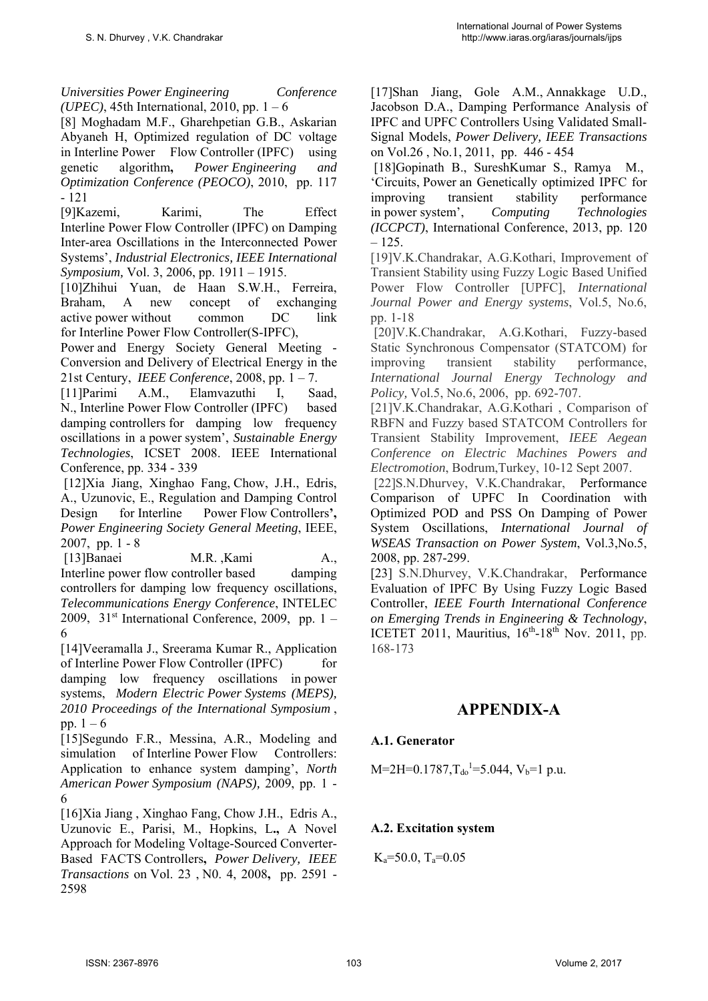*Universities Power Engineering Conference (UPEC)*, 45th International, 2010, pp. 1 – 6

[8] Moghadam M.F., Gharehpetian G.B., Askarian Abyaneh H, Optimized regulation of DC voltage in Interline Power Flow Controller (IPFC) using genetic algorithm**,** *Power Engineering and Optimization Conference (PEOCO)*, 2010, pp. 117 - 121

[9]Kazemi, Karimi, The Effect Interline Power Flow Controller (IPFC) on Damping Inter-area Oscillations in the Interconnected Power Systems', *Industrial Electronics, IEEE International Symposium,* Vol. 3, 2006, pp. 1911 – 1915.

[10]Zhihui Yuan, de Haan S.W.H., Ferreira, Braham, A new concept of exchanging active power without common DC link for Interline Power Flow Controller(S-IPFC),

Power and Energy Society General Meeting - Conversion and Delivery of Electrical Energy in the 21st Century, *IEEE Conference*, 2008, pp. 1 – 7.

[11]Parimi A.M., Elamvazuthi I, Saad, N., Interline Power Flow Controller (IPFC) based damping controllers for damping low frequency oscillations in a power system', *Sustainable Energy Technologies*, ICSET 2008. IEEE International Conference, pp. 334 - 339

 [12]Xia Jiang, Xinghao Fang, Chow, J.H., Edris, A., Uzunovic, E., Regulation and Damping Control Design for Interline Power Flow Controllers**',**  *Power Engineering Society General Meeting*, IEEE, 2007, pp. 1 - 8

 [13]Banaei M.R. ,Kami A., Interline power flow controller based damping controllers for damping low frequency oscillations, *Telecommunications Energy Conference*, INTELEC 2009,  $31<sup>st</sup> International Conference, 2009, pp. 1 –$ 6

[14]Veeramalla J., Sreerama Kumar R., Application of Interline Power Flow Controller (IPFC) for damping low frequency oscillations in power systems, *Modern Electric Power Systems (MEPS), 2010 Proceedings of the International Symposium* , pp.  $1 - 6$ 

[15]Segundo F.R., Messina, A.R., Modeling and simulation of Interline Power Flow Controllers: Application to enhance system damping', *North American Power Symposium (NAPS),* 2009, pp. 1 - 6

[16]Xia Jiang , Xinghao Fang, Chow J.H., Edris A., Uzunovic E., Parisi, M., Hopkins, L**.,** A Novel Approach for Modeling Voltage-Sourced Converter-Based FACTS Controllers**,** *Power Delivery, IEEE Transactions* on Vol. 23 , N0. 4, 2008**,** pp. 2591 - 2598

[17]Shan Jiang, Gole A.M., Annakkage U.D., Jacobson D.A., Damping Performance Analysis of IPFC and UPFC Controllers Using Validated Small-Signal Models, *Power Delivery, IEEE Transactions* on Vol.26 , No.1, 2011, pp. 446 - 454

 [18]Gopinath B., SureshKumar S., Ramya M., 'Circuits, Power an Genetically optimized IPFC for improving transient stability performance in power system', *Computing Technologies (ICCPCT)*, International Conference, 2013, pp. 120 – 125.

[19]V.K.Chandrakar, A.G.Kothari, Improvement of Transient Stability using Fuzzy Logic Based Unified Power Flow Controller [UPFC], *International Journal Power and Energy systems*, Vol.5, No.6, pp. 1-18

 [20]V.K.Chandrakar, A.G.Kothari, Fuzzy-based Static Synchronous Compensator (STATCOM) for improving transient stability performance, *International Journal Energy Technology and Policy,* Vol.5, No.6, 2006, pp. 692-707.

[21]V.K.Chandrakar, A.G.Kothari , Comparison of RBFN and Fuzzy based STATCOM Controllers for Transient Stability Improvement, *IEEE Aegean Conference on Electric Machines Powers and Electromotion*, Bodrum,Turkey, 10-12 Sept 2007.

 [22]S.N.Dhurvey, V.K.Chandrakar, Performance Comparison of UPFC In Coordination with Optimized POD and PSS On Damping of Power System Oscillations, *International Journal of WSEAS Transaction on Power System*, Vol.3,No.5, 2008, pp. 287-299.

[23] S.N.Dhurvey, V.K.Chandrakar, Performance Evaluation of IPFC By Using Fuzzy Logic Based Controller, *IEEE Fourth International Conference on Emerging Trends in Engineering & Technology*, ICETET 2011, Mauritius,  $16^{th}$ - $18^{th}$  Nov. 2011, pp. 168-173

# **APPENDIX-A**

## **A.1. Generator**

 $M=2H=0.1787$ ,  $T_{d0}$ <sup>1</sup> = 5.044,  $V_b$  = 1 p.u.

## **A.2. Excitation system**

 $K_a = 50.0$ ,  $T_a = 0.05$